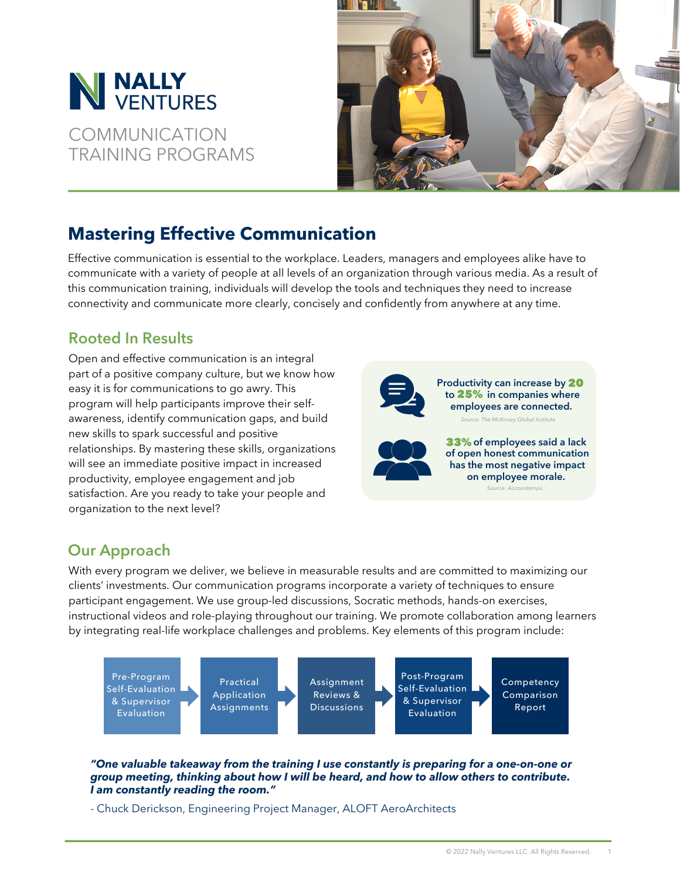

COMMUNICATION TRAINING PROGRAMS



# **Mastering Effective Communication**

Effective communication is essential to the workplace. Leaders, managers and employees alike have to communicate with a variety of people at all levels of an organization through various media. As a result of this communication training, individuals will develop the tools and techniques they need to increase connectivity and communicate more clearly, concisely and confidently from anywhere at any time.

## Rooted In Results

Open and effective communication is an integral part of a positive company culture, but we know how easy it is for communications to go awry. This program will help participants improve their selfawareness, identify communication gaps, and build new skills to spark successful and positive relationships. By mastering these skills, organizations will see an immediate positive impact in increased productivity, employee engagement and job satisfaction. Are you ready to take your people and organization to the next level?



Productivity can increase by 20 to 25% in companies where employees are connected. .<br>Comparent Clobal Institute: The McKinsey Global Institute:



**33%** of employees said a lack of open honest communication has the most negative impact on employee morale.

Source: [Accountemps](https://rh-us.mediaroom.com/2013-10-22-Survey-Human-Resources-Managers-Cite-Lack-of-Communication-as-Main-Source-of-Low-Employee-Morale)

## Our Approach

With every program we deliver, we believe in measurable results and are committed to maximizing our clients' investments. Our communication programs incorporate a variety of techniques to ensure participant engagement. We use group-led discussions, Socratic methods, hands-on exercises, instructional videos and role-playing throughout our training. We promote collaboration among learners by integrating real-life workplace challenges and problems. Key elements of this program include:



## **"One valuable takeaway from the training I use constantly is preparing for a one-on-one or group meeting, thinking about how I will be heard, and how to allow others to contribute. I am constantly reading the room."**

- Chuck Derickson, Engineering Project Manager, ALOFT AeroArchitects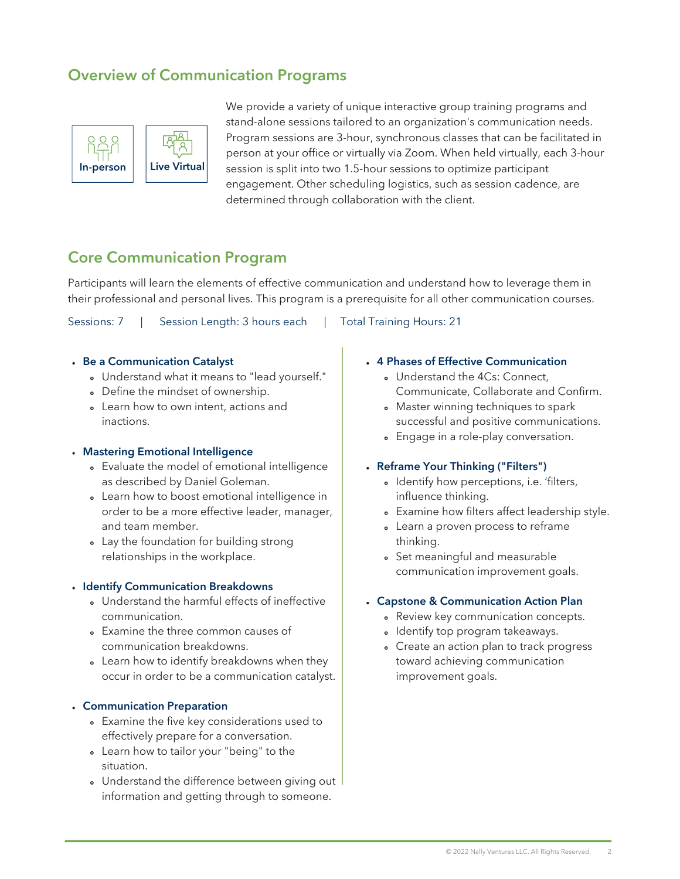## Overview of Communication Programs



We provide a variety of unique interactive group training programs and stand-alone sessions tailored to an organization's communication needs. Program sessions are 3-hour, synchronous classes that can be facilitated in person at your office or virtually via Zoom. When held virtually, each 3-hour session is split into two 1.5-hour sessions to optimize participant engagement. Other scheduling logistics, such as session cadence, are determined through collaboration with the client.

## Core Communication Program

Participants will learn the elements of effective communication and understand how to leverage them in their professional and personal lives. This program is a prerequisite for all other communication courses.

Sessions: 7 | Session Length: 3 hours each | Total Training Hours: 21

#### Be a Communication Catalyst

- Understand what it means to "lead yourself."
- Define the mindset of ownership.
- Learn how to own intent, actions and inactions.

#### Mastering Emotional Intelligence

- Evaluate the model of emotional intelligence as described by Daniel [Goleman.](https://en.wikipedia.org/wiki/Daniel_Goleman)
- Learn how to boost emotional intelligence in order to be a more effective leader, manager, and team member.
- Lay the foundation for building strong relationships in the workplace.

#### • Identify Communication Breakdowns

- Understand the harmful effects of ineffective communication.
- Examine the three common causes of communication breakdowns.
- Learn how to identify breakdowns when they occur in order to be a communication catalyst.

#### Communication Preparation

- Examine the five key considerations used to effectively prepare for a conversation.
- Learn how to tailor your "being" to the situation.
- Understand the difference between giving out information and getting through to someone.

#### 4 Phases of Effective Communication

- Understand the 4Cs: Connect, Communicate, Collaborate and Confirm.
- Master winning techniques to spark successful and positive communications.
- Engage in a role-play conversation.

#### Reframe Your Thinking ("Filters")

- o Identify how perceptions, i.e. 'filters, influence thinking.
- Examine how filters affect leadership style.
- Learn a proven process to reframe thinking.
- Set meaningful and measurable communication improvement goals.

#### Capstone & Communication Action Plan

- Review key communication concepts.
- Identify top program takeaways.
- Create an action plan to track progress toward achieving communication improvement goals.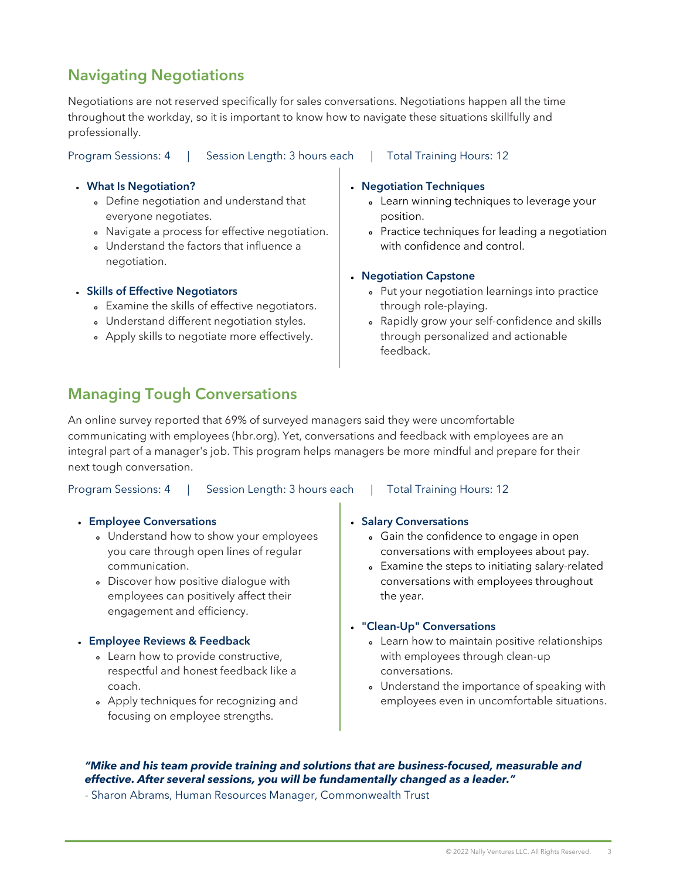## Navigating Negotiations

Negotiations are not reserved specifically for sales conversations. Negotiations happen all the time throughout the workday, so it is important to know how to navigate these situations skillfully and professionally.

Program Sessions: 4 | Session Length: 3 hours each | Total Training Hours: 12

### What Is Negotiation?

- Define negotiation and understand that everyone negotiates.
- Navigate a process for effective negotiation.
- Understand the factors that influence a negotiation.

### Skills of Effective Negotiators

- Examine the skills of effective negotiators.
- Understand different negotiation styles.
- Apply skills to negotiate more effectively.

#### Negotiation Techniques

- Learn winning techniques to leverage your position.
- Practice techniques for leading a negotiation with confidence and control.

#### Negotiation Capstone

- Put your negotiation learnings into practice through role-playing.
- Rapidly grow your self-confidence and skills through personalized and actionable feedback.

## Managing Tough Conversations

An online survey reported that 69% of surveyed managers said they were uncomfortable communicating with employees (hbr.org). Yet, conversations and feedback with employees are an integral part of a manager's job. This program helps managers be more mindful and prepare for their next tough conversation.

| Program Sessions: 4 | Session Length: 3 hours each | <b>Total Training Hours: 12</b> |
|---------------------|------------------------------|---------------------------------|
|---------------------|------------------------------|---------------------------------|

### Employee Conversations

- Understand how to show your employees you care through open lines of regular communication.
- Discover how positive dialogue with employees can positively affect their engagement and efficiency.

### Employee Reviews & Feedback

- Learn how to provide constructive, respectful and honest feedback like a coach.
- Apply techniques for recognizing and focusing on employee strengths.

### **Salary Conversations**

- Gain the confidence to engage in open conversations with employees about pay.
- Examine the steps to initiating salary-related conversations with employees throughout the year.

### "Clean-Up" Conversations

- Learn how to maintain positive relationships with employees through clean-up conversations.
- Understand the importance of speaking with employees even in uncomfortable situations.

## **"Mike and his team provide training and solutions that are business-focused, measurable and effective. After several sessions, you will be fundamentally changed as a leader."**

- Sharon Abrams, Human Resources Manager, Commonwealth Trust